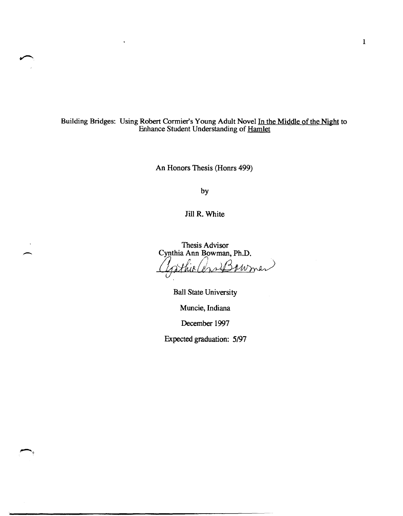Building Bridges: Using Robert Cormier's Young Adult Novel In the Middle of the Night to Enhance Student Understanding of Hamlet

An Honors Thesis (Honrs 499)

by

Jill R. White

 $\overline{\phantom{a}}$ 

Thesis Advisor Cynthia Ann Bowman, Ph.D. Gathio Con Bowmen

Ball State University

Muncie, Indiana

December 1997

Expected graduation: *5/97*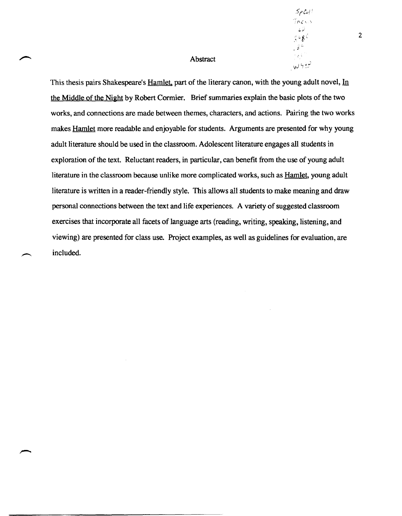# Abstract

This thesis pairs Shakespeare's Hamlet, part of the literary canon, with the young adult novel, In the Middle of the Night by Robert Cormier. Brief summaries explain the basic plots of the two works, and connections are made between themes, characters, and actions. Pairing the two works makes Hamlet more readable and enjoyable for students. Arguments are presented for why young adult literature should be used in the classroom. Adolescent literature engages all students in exploration of the text. Reluctant readers, in particular, can benefit from the use of young adult literature in the classroom because unlike more complicated works, such as Hamlet, young adult literature is written in a reader-friendly style. This allows all students to make meaning and draw personal connections between the text and life experiences. A variety of suggested classroom exercises that incorporate all facets of language arts (reading, writing, speaking, listening, and viewing) are presented for class use. Project examples, as well as guidelines for evaluation, are included.

2

 $5\rho$ Col  $Inc$ 

֧

نوم ہا **س**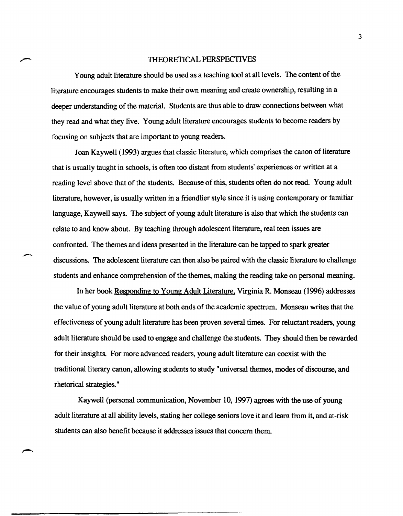# THEORETICAL PERSPECTIVES

Young adult literature should be used as a teaching tool at all levels. The content of the literature encourages students to make their own meaning and create ownership, resulting in a deeper understanding of the material. Students are thus able to draw connections between what they read and what they live. Young adult literature encourages students to become readers by focusing on subjects that are important to young readers.

Joan Kaywell (1993) argues that classic literature, which comprises the canon of literature that is usually taught in schools, is often too distant from students' experiences or written at a reading level above that of the students. Because of this, students often do not read. Young adult literature, however, is usually written in a friendlier style since it is using contemporary or familiar language, Kaywell says. The subject of young adult literature is also that which the students can relate to and know about. By teaching through adolescent literature, real teen issues are confronted. The themes and ideas presented in the literature can be tapped to spark greater discussions. The adolescent literature can then also be paired with the classic literature to challenge students and enhance comprehension of the themes, making the reading take on personal meaning.

In her book Responding to Young Adult Literature. Virginia R. Monseau (1996) addresses the value of young adult literature at both ends of the academic spectrum. Monseau writes that the effectiveness of young adult literature has been proven several times. For reluctant readers, young adult literature should be used to engage and challenge the students. They should then be rewarded for their insights. For more advanced readers, young adult literature can coexist with the traditional literary canon, allowing students to study "universal themes, modes of discourse, and rhetorical strategies."

Kaywell (personal communication, November 10, 1997) agrees with the use of young adult literature at all ability levels, stating her college seniors love it and learn from it, and at-risk students can also benefit because it addresses issues that concern them.

3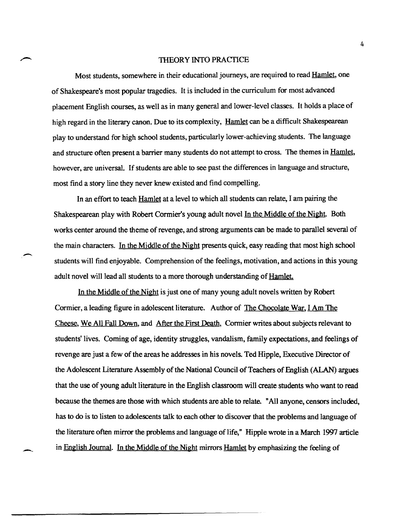## THEORY INTO PRACfICE

Most students, somewhere in their educational journeys, are required to read Hamlet, one of Shakespeare's most popular tragedies. It is included in the curriculum for most advanced placement English courses, as well as in many general and lower-level classes. It holds a place of high regard in the literary canon. Due to its complexity, Hamlet can be a difficult Shakespearean play to understand for high school students, particularly lower-achieving students. The language and structure often present a barrier many students do not attempt to cross. The themes in Hamlet, however, are universal. If students are able to see past the differences in language and structure, most fmd a story line they never knew existed and find compelling.

In an effort to teach Hamlet at a level to which all students can relate, I am pairing the Shakespearean play with Robert Cormier's young adult novel In the Middle of the Night. Both works center around the theme of revenge, and strong arguments can be made to parallel several of the main characters. In the Middle of the Night presents quick, easy reading that most high school students will find enjoyable. Comprehension of the feelings, motivation, and actions in this young adult novel will lead all students to a more thorough understanding of Hamlet.

-,

In the Middle of the Night is just one of many young adult novels written by Robert Cormier, a leading figure in adolescent literature. Author of The Chocolate War, I Am The Cheese, We All Fall Down, and After the First Death, Cormier writes about subjects relevant to students' lives. Coming of age, identity struggles, vandalism, family expectations, and feelings of revenge are just a few of the areas he addresses in his novels. Ted Hipple, Executive Director of the Adolescent Literature Assembly of the National Council of Teachers of English (ALAN) argues that the use of young adult literature in the English classroom will create students who want to read because the themes are those with which students are able to relate. "All anyone, censors included, has to do is to listen to adolescents talk to each other to discover that the problems and language of the literature often mirror the problems and language of life," Hipple wrote in a March 1997 article in English Journal. In the Middle of the Night mirrors Hamlet by emphasizing the feeling of

4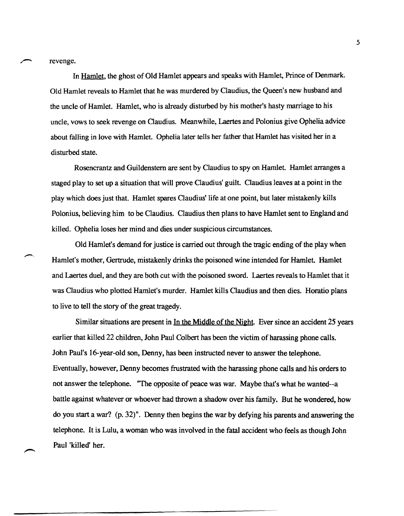revenge.

In Hamlet, the ghost of Old Hamlet appears and speaks with Hamlet, Prince of Denmark. Old Hamlet reveals to Hamlet that he was murdered by Claudius, the Queen's new husband and the uncle of Hamlet. Hamlet, who is already disturbed by his mother's hasty marriage to his uncle, vows to seek revenge on Claudius. Meanwhile, Laertes and Polonius give Ophelia advice about falling in love with Hamlet. Ophelia later tells her father that Hamlet has visited her in a disturbed state.

Rosencrantz and Guildenstem are sent by Claudius to spy on Hamlet. Hamlet arranges a staged play to set up a situation that will prove Claudius' guilt. Claudius leaves at a point in the play which does just that. Hamlet spares Claudius' life at one point, but later mistakenly kills Polonius, believing him to be Claudius. Claudius then plans to have Hamlet sent to England and killed. Ophelia loses her mind and dies under suspicious circumstances.

Old Hamlet's demand for justice is carried out through the tragic ending of the play when Hamlet's mother, Gertrude, mistakenly drinks the poisoned wine intended for Hamlet. Hamlet and Laertes duel, and they are both cut with the poisoned sword. Laertes reveals to Hamlet that it was Claudius who plotted Hamlet's murder. Hamlet kills Claudius and then dies. Horatio plans to live to tell the story of the great tragedy.

Similar situations are present in <u>In the Middle of the Night</u>. Ever since an accident 25 years earlier that killed 22 children, John Paul Colbert has been the victim of harassing phone calls. John Pau1's 16-year-old son, Denny, has been instructed never to answer the telephone. Eventually, however, Denny becomes frustrated with the harassing phone calls and his orders to not answer the telephone. "The opposite of peace was war. Maybe that's what he wanted--a battle against whatever or whoever had thrown a shadow over his family. But he wondered, how do you start a war? (p. 32)". Denny then begins the war by defying his parents and answering the telephone. It is Lulu, a woman who was involved in the fatal accident who feels as though John Paul 'killed' her.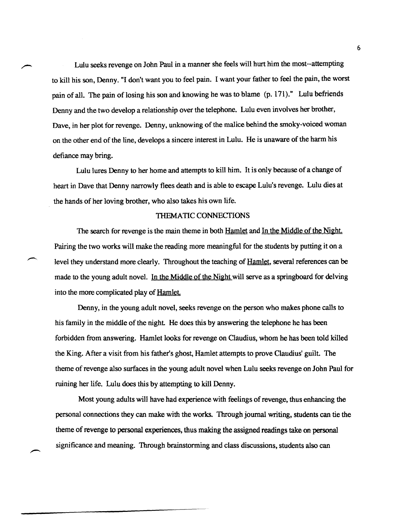Lulu seeks revenge on John Paul in a manner she feels will hurt him the most--attempting to kill his son, Denny. "I don't want you to feel pain. I want your father to feel the pain, the worst pain of all. The pain of losing his son and knowing he was to blame (p. 171)." Lulu befriends Denny and the two develop a relationship over the telephone. Lulu even involves her brother, Dave, in her plot for revenge. Denny, unknowing of the malice behind the smoky-voiced woman on the other end of the line, develops a sincere interest in Lulu. He is unaware of the harm his defiance may bring.

Lulu lures Denny to her home and attempts to kill him. It is only because of a change of heart in Dave that Denny narrowly flees death and is able to escape Lulu's revenge. Lulu dies at the hands of her loving brother, who also takes his own life.

# THEMATIC CONNECTIONS

The search for revenge is the main theme in both Hamlet and In the Middle of the Night. Pairing the two works will make the reading more meaningful for the students by putting it on a level they understand more clearly. Throughout the teaching of Hamlet, several references can be made to the young adult novel. In the Middle of the Night will serve as a springboard for delving into the more complicated play of Hamlet

Denny, in the young adult novel, seeks revenge on the person who makes phone calls to his family in the middle of the night. He does this by answering the telephone he has been forbidden from answering. Hamlet looks for revenge on Claudius, whom he has been told killed the King. After a visit from his father's ghost, Hamlet attempts to prove Claudius' guilt. The theme of revenge also surfaces in the young adult novel when Lulu seeks revenge on John Paul for ruining her life. Lulu does this by attempting to kill Denny.

Most young adults will have had experience with feelings of revenge, thus enhancing the personal connections they can make with the works. Through journal writing, students can tie the theme of revenge to personal experiences, thus making the assigned readings take on personal significance and meaning. Through brainstorming and class discussions, students also can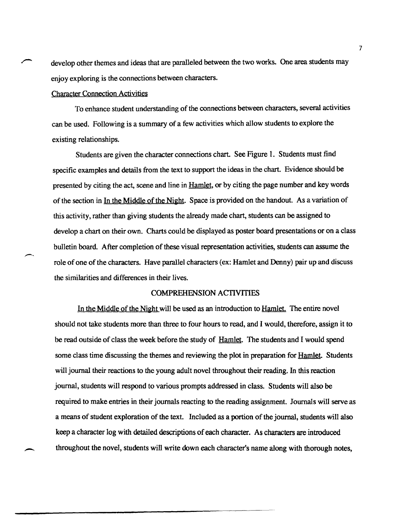develop other themes and ideas that are paralleled between the two works. One area students may enjoy exploring is the connections between characters.

# Character Connection Activities

To enhance student understanding of the connections between characters, several activities can be used. Following is a summary of a few activities which allow students to explore the existing relationships.

Students are given the character connections chart. See Figure 1. Students must find specific examples and details from the text to support the ideas in the chart. Evidence should be presented by citing the act, scene and line in Hamlet, or by citing the page number and key words of the section in In the Middle of the Night. Space is provided on the handout. As a variation of this activity, rather than giving students the already made chart, students can be assigned to develop a chart on their own. Charts could be displayed as poster board presentations or on a class bulletin board. After completion of these visual representation activities, students can assume the role of one of the characters. Have parallel characters (ex: Hamlet and Denny) pair up and discuss the similarities and differences in their lives.

# COMPREHENSION ACTIVITIES

In the Middle of the Night will be used as an introduction to Hamlet. The entire novel should not take students more than three to four hours to read, and I would, therefore, assign it to be read outside of class the week before the study of Hamlet. The students and I would spend some class time discussing the themes and reviewing the plot in preparation for Hamlet. Students will journal their reactions to the young adult novel throughout their reading. In this reaction journal, students will respond to various prompts addressed in class. Students will also be required to make entries in their journals reacting to the reading assignment. Journals will serve as a means of student exploration of the text. Included as a portion of the journal, students will also keep a character log with detailed descriptions of each character. As characters are introduced throughout the novel, students will write down each character's name along with thorough notes,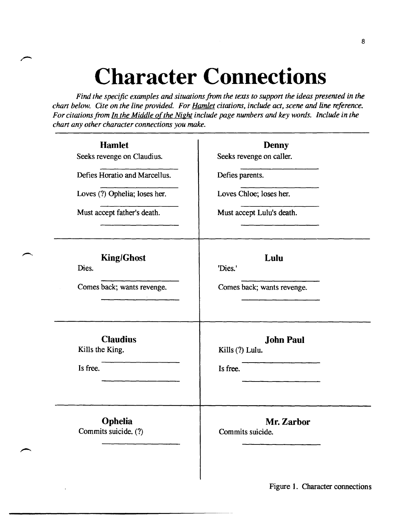# **Character Connections**

*Find the specific examples and situations from the texts to support the ideas presented in the chart below. Cite on the line provided. For Hamlet citations, include act, scene and line reference. For citations from In the Middle of the Night include page numbers and key words. Include in the chart any other character connections you make.* 

| <b>Hamlet</b>                                  | <b>Denny</b>                                    |  |  |
|------------------------------------------------|-------------------------------------------------|--|--|
| Seeks revenge on Claudius.                     | Seeks revenge on caller.                        |  |  |
| Defies Horatio and Marcellus.                  | Defies parents.                                 |  |  |
| Loves (?) Ophelia; loses her.                  | Loves Chloe; loses her.                         |  |  |
| Must accept father's death.                    | Must accept Lulu's death.                       |  |  |
| <b>King/Ghost</b><br>Dies.                     | Lulu<br>'Dies.'                                 |  |  |
| Comes back; wants revenge.                     | Comes back; wants revenge.                      |  |  |
| <b>Claudius</b><br>Kills the King.<br>Is free. | <b>John Paul</b><br>Kills (?) Lulu.<br>Is free. |  |  |
| <b>Ophelia</b><br>Commits suicide. (?)         | Mr. Zarbor<br>Commits suicide.                  |  |  |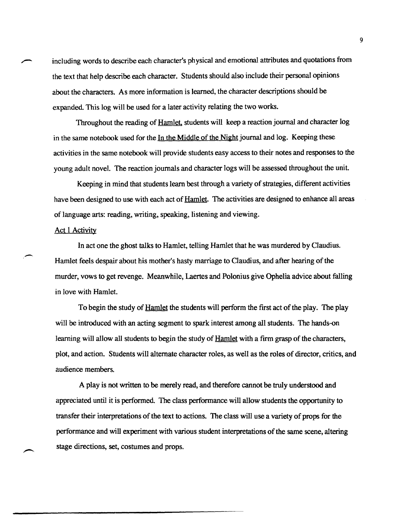including words to describe each character's physical and emotional attributes and quotations from the text that help describe each character. Students should also include their personal opinions about the characters. As more information is learned, the character descriptions should be expanded. This log will be used for a later activity relating the two works.

Throughout the reading of Hamlet, students will keep a reaction journal and character log in the same notebook used for the In the Middle of the Night journal and log. Keeping these activities in the same notebook will provide students easy access to their notes and responses to the young adult novel. The reaction journals and character logs will be assessed throughout the unit.

Keeping in mind that students learn best through a variety of strategies, different activities have been designed to use with each act of **Hamlet**. The activities are designed to enhance all areas of language arts: reading, writing, speaking, listening and viewing.

# **Act 1 Activity**

-

In act one the ghost talks to Hamlet, telling Hamlet that he was murdered by Claudius. Hamlet feels despair about his mother's hasty marriage to Claudius, and after hearing of the murder, vows to get revenge. Meanwhile, Laertes and Polonius give Ophelia advice about falling in love with Hamlet.

To begin the study of Hamlet the students will perform the first act of the play. The play will be introduced with an acting segment to spark interest among all students. The hands-on learning will allow all students to begin the study of Hamlet with a firm grasp of the characters, plot, and action. Students will alternate character roles, as well as the roles of director, critics, and audience members.

A play is not written to be merely read, and therefore cannot be truly understood and appreciated until it is performed. The class performance will allow students the opportunity to transfer their interpretations of the text to actions. The class will use a variety of props for the performance and will experiment with various student interpretations of the same scene, altering stage directions, set, costumes and props.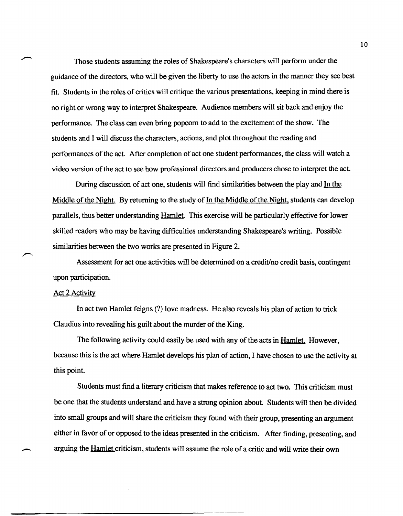Those students assuming the roles of Shakespeare's characters will perform under the guidance of the directors, who will be given the liberty to use the actors in the manner they see best fit. Students in the roles of critics will critique the various presentations, keeping in mind there is no right or wrong way to interpret Shakespeare. Audience members will sit back and enjoy the performance. The class can even bring popcorn to add to the excitement of the show. The students and I will discuss the characters, actions, and plot throughout the reading and performances of the act. After completion of act one student performances, the class will watch a video version of the act to see how professional directors and producers chose to interpret the act.

During discussion of act one, students will find similarities between the play and In the Middle of the Night. By returning to the study of In the Middle of the Night, students can develop parallels, thus better understanding Hamlet. This exercise will be particularly effective for lower skilled readers who may be having difficulties understanding Shakespeare's writing. Possible similarities between the two works are presented in Figure 2.

Assessment for act one activities will be determined on a credit/no credit basis, contingent upon participation.

## Act 2 Activity

In act two Hamlet feigns (?) love madness. He also reveals his plan of action to trick Claudius into revealing his guilt about the murder of the King.

The following activity could easily be used with any of the acts in Hamlet. However, because this is the act where Hamlet develops his plan of action, I have chosen to use the activity at this point.

Students must find a literary criticism that makes reference to act two. This criticism must be one that the students understand and have a strong opinion about. Students will then be divided into small groups and will share the criticism they found with their group, presenting an argument either in favor of or opposed to the ideas presented in the criticism. After finding, presenting, and arguing the Hamlet criticism, students will assume the role of a critic and will write their own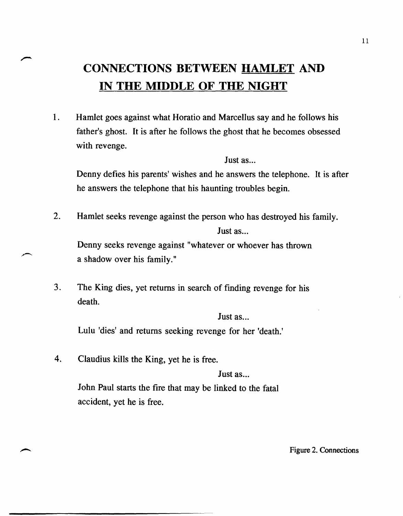# **CONNECTIONS BETWEEN HAMLET AND IN THE MIDDLE OF THE NIGHT**

1. Hamlet goes against what Horatio and Marcellus say and he follows his father's ghost. It is after he follows the ghost that he becomes obsessed with revenge.

Just as...

Denny defies his parents' wishes and he answers the telephone. It is after he answers the telephone that his haunting troubles begin.

2. Hamlet seeks revenge against the person who has destroyed his family. Just  $as...$ Denny seeks revenge against "whatever or whoever has thrown

a shadow over his family."

3. The King dies, yet returns in search of finding revenge for his death.

Just as...

Lulu 'dies' and returns seeking revenge for her 'death.'

4. Claudius kills the King, yet he is free. Just as... John Paul starts the fire that may be linked to the fatal accident, yet he is free.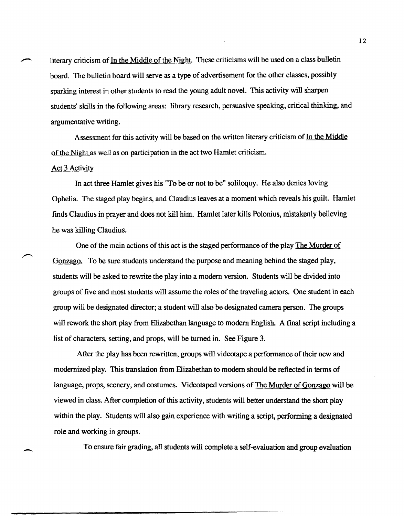literary criticism of In the Middle of the Night. These criticisms will be used on a class bulletin board. The bulletin board will serve as a type of advertisement for the other classes, possibly sparking interest in other students to read the young adult novel. This activity will sharpen students' skills in the following areas: library research, persuasive speaking, critical thinking, and argumentative writing.

Assessment for this activity will be based on the written literary criticism of In the Middle of the Night as well as on participation in the act two Hamlet criticism.

## Act 3 Activity

--

In act three Hamlet gives his "To be or not to be" soliloquy. He also denies loving Ophelia. The staged play begins, and Claudius leaves at a moment which reveals his guilt. Hamlet finds Claudius in prayer and does not kill him. Hamlet later kills Polonius, mistakenly believing he was killing Claudius.

One of the main actions of this act is the staged performance of the play The Murder of Gonzago. To be sure students understand the purpose and meaning behind the staged play, students will be asked to rewrite the play into a modern version. Students will be divided into groups of five and most students will assume the roles of the traveling actors. One student in each group will be designated director; a student will also be designated camera person. The groups will rework the short play from Elizabethan language to modem Fnglish. A final script including a list of characters, setting, and props, will be turned in. See Figure 3.

After the play has been rewritten, groups will videotape a performance of their new and modernized play. This translation from Elizabethan to modern should be reflected in terms of language, props, scenery, and costumes. Videotaped versions of The Murder of Gonzago will be viewed in class. After completion of this activity, students will better understand the short play within the play. Students will also gain experience with writing a script, performing a designated role and working in groups.

To ensure fair grading, all students will complete a self-evaluation and group evaluation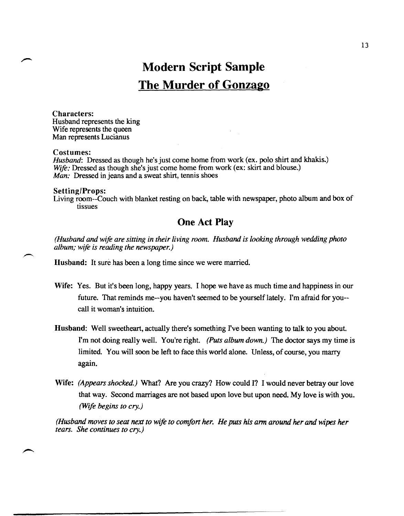# **Modern Script Sample The Murder of Gonzago**

Characters: Husband represents the king Wife represents the queen Man represents Lucianus

## Costumes:

*Husband*: Dressed as though he's just come home from work (ex. polo shirt and khakis.) *Wife:* Dressed as though she's just come home from work (ex: skirt and blouse.) *Man:* Dressed in jeans and a sweat shirt, tennis shoes

# Setting/Props: Living room--Couch with blanket resting on back, table with newspaper, photo album and box of tissues

# **One Act Play**

*(Husband and wife are sitting in their living room. Husband is looking through wedding photo album; wife is reading the newspaper.)* 

Husband: It sure has been a long time since we were married.

- Wife: Yes. But it's been long, happy years. I hope we have as much time and happiness in our future. That reminds me--you haven't seemed to be yourself lately. I'm afraid for you- call it woman's intuition.
- Husband: Well sweetheart, actually there's something I've been wanting to talk to you about. I'm not doing really well. You're right. *(Puts album down.)* The doctor says my time is limited. You will soon be left to face this world alone. Unless, of course, you marry again.
- Wife: *(Appears shocked.)* What? Are you crazy? How could I? I would never betray our love that way. Second marriages are not based upon love but upon need. My love is with you. *(Wife begins to cry.)*

*(Husband moves to seat next to Wife to comfort her. He puts his arm around her and wipes her tears. She continues to cry.)*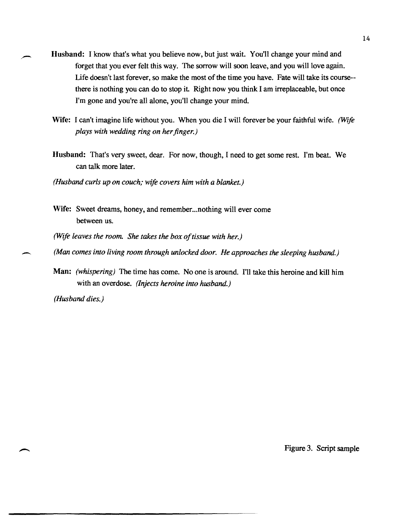- Husband: I know that's what you believe now, but just wait. You'll change your mind and forget that you ever felt this way. The sorrow will soon leave, and you will love again. Life doesn't last forever, so make the most of the time you have. Fate will take its course- there is nothing you can do to stop it. Right now you think I am irreplaceable, but once I'm gone and you're all alone, you'll change your mind.
	- Wife: I can't imagine life without you. When you die I will forever be your faithful wife. *{Wife plays with wedding ring on her finger.}*
	- Husband: That's very sweet, dear. For now, though, I need to get some rest. I'm beat. We can talk more later.
	- *(Husband curls up on couch; Wife covers him with a blanket.)*
	- Wife: Sweet dreams, honey, and remember... nothing will ever come between us.
	- *(Wife leaves the room. She takes the box of tissue with her.)*
- (Man comes into living room through unlocked door. He approaches the sleeping husband.)
- Man: *(whispering)* The time has come. No one is around. I'll take this heroine and kill him with an overdose. *(Injects heroine into husband.)*

*(Husband dies.)* 

Figure 3. Script sample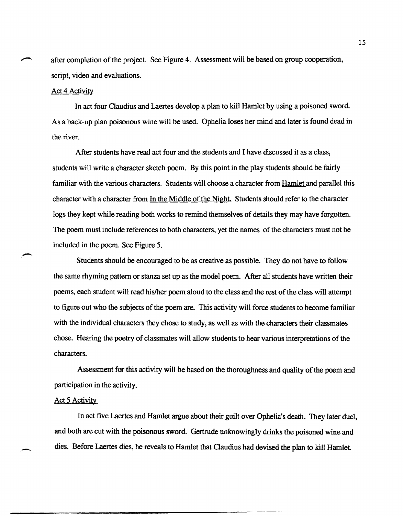after completion of the project. See Figure 4. Assessment will be based on group cooperation, script, video and evaluations.

## Act 4 Activity

In act four Claudius and Laertes develop a plan to kill Hamlet by using a poisoned sword. As a back-up plan poisonous wine will be used. Ophelia loses her mind and later is found dead in the river.

After students have read act four and the students and I have discussed it as a class, students will write a character sketch poem. By this point in the play students should be fairly familiar with the various characters. Students will choose a character from Hamlet and parallel this character with a character from In the Middle of the Night. Students should refer to the character logs they kept while reading both works to remind themselves of details they may have forgotten. The poem must include references to both characters, yet the names of the characters must not be included in the poem. See Figure 5.

Students should be encouraged to be as creative as possible. They do not have to follow the same rhyming pattern or stanza set up as the model poem. After all students have written their poems, each student will read hislher poem aloud to the class and the rest of the class will attempt to figure out who the subjects of the poem are. This activity will force students to become familiar with the individual characters they chose to study, as well as with the characters their classmates chose. Hearing the poetry of classmates will allow students to hear various interpretations of the characters.

Assessment for this activity will be based on the thoroughness and quality of the poem and participation in the activity.

## Act 5 Activity

In act five Laertes and Hamlet argue about their guilt over Ophelia's death. They later duel, and both are cut with the poisonous sword. Gertrude unknowingly drinks the poisoned wine and dies. Before Laertes dies, he reveals to Hamlet that Claudius had devised the plan to kill Hamlet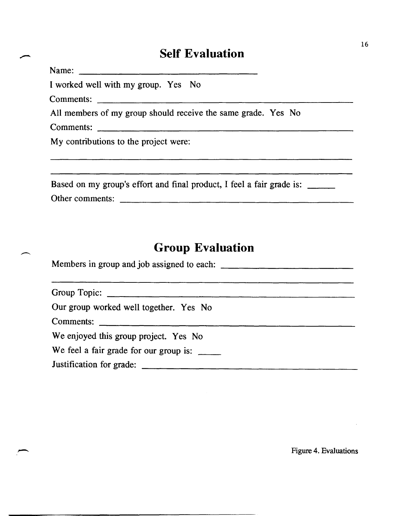# **Self Evaluation**

Name:

I worked well with my group. Yes No

Comments:

All members of my group should receive the same grade. Yes No

Comments:

My contributions to the project were:

| Based on my group's effort and final product, I feel a fair grade is: |  |  |  |
|-----------------------------------------------------------------------|--|--|--|
| Other comments:                                                       |  |  |  |

and the contract of the contract of the contract of the contract of the contract of the contract of the contract of

# **Group Evaluation**

| Group Topic:                           |  |  |  |
|----------------------------------------|--|--|--|
| Our group worked well together. Yes No |  |  |  |
|                                        |  |  |  |
| We enjoyed this group project. Yes No  |  |  |  |
| We feel a fair grade for our group is: |  |  |  |
|                                        |  |  |  |

Figure 4. Evaluations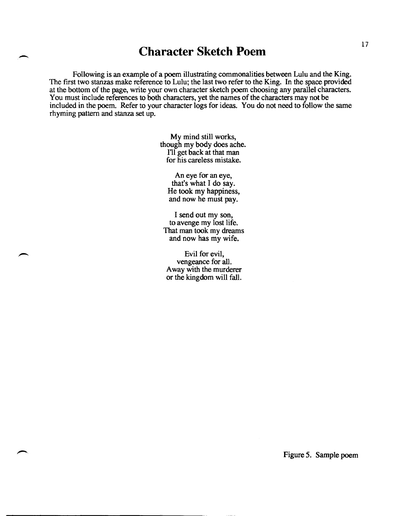# - **Character Sketch Poem**

Following is an example of a poem illustrating commonalities between Lulu and the King. The first two stanzas make reference to Lulu; the last two refer to the King. In the space provided at the bottom of the page, write your own character sketch poem choosing any parallel characters. You must include references to both characters, yet the names of the characters may not be included in the poem. Refer to your character logs for ideas. You do not need to follow the same rhyming pattern and stanza set up.

> My mind still works, though my body does ache. 111 get back at that man for his careless mistake.

An eye for an eye, that's what I do say. He took my happiness, and now he must pay.

I send out my son, to avenge my lost life. That man took my dreams and now has my wife.

Evil for evil, vengeance for all. Away with the murderer or the kingdom will fall.

Figure 5. Sample poem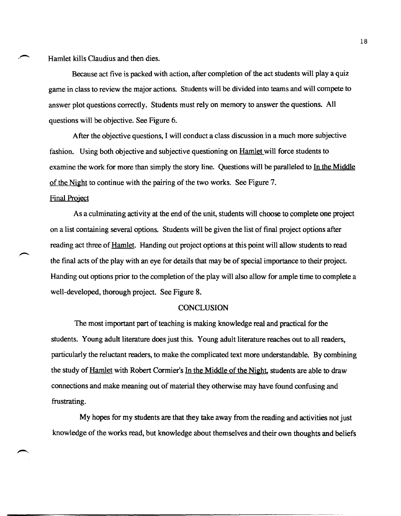Hamlet kills Claudius and then dies.

Because act five is packed with action, after completion of the act students will play a quiz game in class to review the major actions. Students will be divided into teams and will compete to answer plot questions correctly. Students must rely on memory to answer the questions. All questions will be objective. See Figure 6.

After the objective questions, I will conduct a class discussion in a much more subjective fashion. Using both objective and subjective questioning on Hamlet will force students to examine the work for more than simply the story line. Questions will be paralleled to In the Middle of the Night to continue with the pairing of the two works. See Figure 7.

## Final Project

As a culminating activity at the end of the unit, students will choose to complete one project on a list containing several options. Students will be given the list of final project options after reading act three of Hamlet. Handing out project options at this point will allow students to read the fmal acts of the play with an eye for details that may be of special importance to their project. Handing out options prior to the completion of the play will also allow for ample time to complete a well-developed, thorough project. See Figure 8.

## **CONCLUSION**

The most important part of teaching is making knowledge real and practical for the students. Young adult literature does just this. Young adult literature reaches out to all readers, particularly the reluctant readers, to make the complicated text more understandable. By combining the study of Hamlet with Robert Cormier's In the Middle of the Night, students are able to draw connections and make meaning out of material they otherwise may have found confusing and frustrating.

My hopes for my students are that they take away from the reading and activities not just knowledge of the works read, but knowledge about themselves and their own thoughts and beliefs

18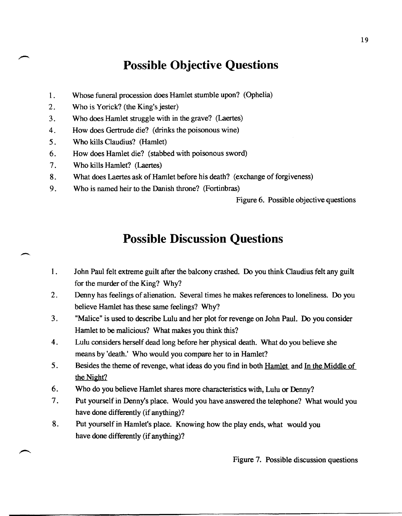# **Possible Objective Questions**

- 1. Whose funeral procession does Hamlet stumble upon? (Ophelia)
- 2. Who is Yorick? (the King's jester)
- 3. Who does Hamlet struggle with in the grave? (Laertes)
- 4. How does Gertrude die? (drinks the poisonous wine)
- 5 . Who kills Claudius? (Hamlet)
- 6. How does Hamlet die? (stabbed with poisonous sword)
- 7. Who kills Hamlet? (Laertes)

 $\overline{\phantom{a}}$ 

- 8. What does Laertes ask of Hamlet before his death? (exchange of forgiveness)
- 9. Who is named heir to the Danish throne? (Fortinbras)

Figure 6. Possible objective questions

# **Possible Discussion Questions**

- 1. John Paul felt extreme guilt after the balcony crashed. Do you think Claudius felt any guilt for the murder of the King? Why?
- 2. Denny has feelings of alienation. Several times he makes references to loneliness. Do you believe Hamlet has these same feelings? Why?
- 3. "Malice" is used to describe Lulu and her plot for revenge on John Paul. Do you consider Hamlet to be malicious? What makes you think this?
- 4. Lulu considers herself dead long before her physical death. What do you believe she means by 'death.' Who would you compare her to in Hamlet?
- 5. Besides the theme of revenge, what ideas do you find in both **Hamlet** and In the Middle of the Night?
- 6. Who do you believe Hamlet shares more characteristics with, Lulu or Denny?
- 7. Put yourself in Denny's place. Would you have answered the telephone? What would you have done differently (if anything)?
- 8. Put yourself in Hamlet's place. Knowing how the play ends, what would you have done differently (if anything)?

Figure 7. Possible discussion questions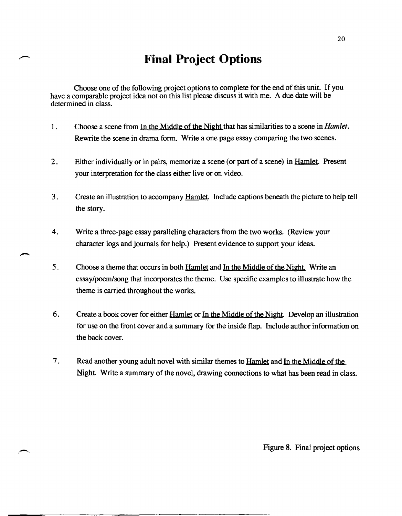# **Final Project Options**

Choose one of the following project options to complete for the end of this unit. If you have a comparable project idea not on this list please discuss it with me. A due date will be determined in class.

- 1 . Choose a scene from In the Middle of the Night that has similarities to a scene in *Hamlet.*  Rewrite the scene in drama form. Write a one page essay comparing the two scenes.
- 2. Either individually or in pairs, memorize a scene (or part of a scene) in Hamlet. Present your interpretation for the class either live or on video.
- 3. Create an illustration to accompany Hamlet. Include captions beneath the picture to help tell the story.
- 4. Write a three-page essay paralleling characters from the two works. (Review your character logs and journals for help.) Present evidence to support your ideas.
- 5 . Choose a theme that occurs in both Hamlet and In the Middle of the Night. Write an essay/poem/song that incorporates the theme. Use specific examples to illustrate how the theme is carried throughout the works.
- 6. Create a book cover for either Hamlet or In the Middle of the Night. Develop an illustration for use on the front cover and a summary for the inside flap. Include author information on the back cover.
- 7. Read another young adult novel with similar themes to Hamlet and In the Middle of the Night. Write a summary of the novel, drawing connections to what has been read in class.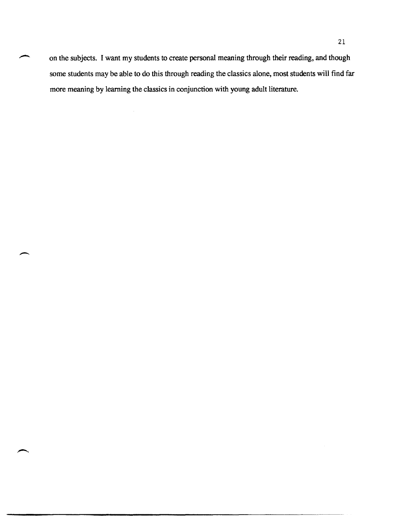on the subjects. I want my students to create personal meaning through their reading, and though some students may be able to do this through reading the classics alone, most students will find far more meaning by learning the classics in conjunction with young adult literature.

 $\overline{\phantom{a}}$